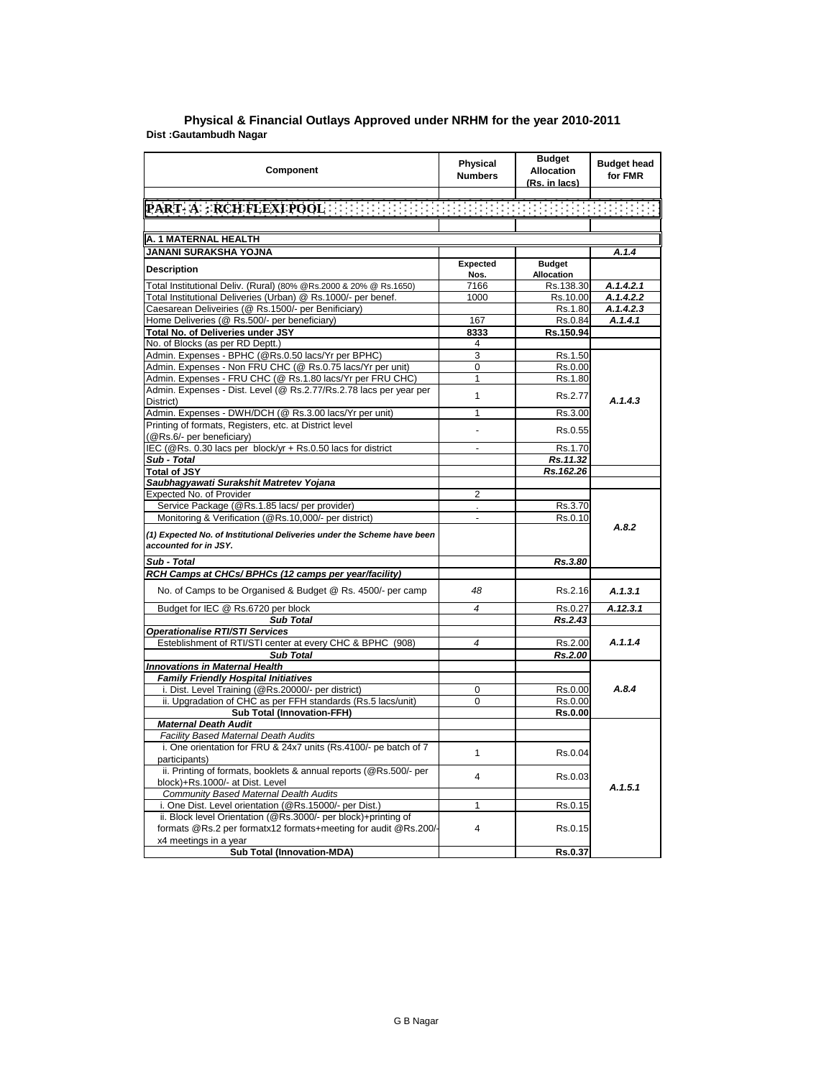| Component                                                                                                                         | Physical<br><b>Numbers</b> | <b>Budget</b><br><b>Allocation</b><br>(Rs. in lacs) | <b>Budget head</b><br>for FMR |
|-----------------------------------------------------------------------------------------------------------------------------------|----------------------------|-----------------------------------------------------|-------------------------------|
| PART-A : RCH FLEXIPOOL TELEVISION IN THE CONTRIBUTION OF THE                                                                      |                            |                                                     |                               |
|                                                                                                                                   |                            |                                                     |                               |
|                                                                                                                                   |                            |                                                     |                               |
| A. 1 MATERNAL HEALTH                                                                                                              |                            |                                                     |                               |
| JANANI SURAKSHA YOJNA                                                                                                             |                            |                                                     | A.1.4                         |
| <b>Description</b>                                                                                                                | Expected<br>Nos.           | <b>Budget</b><br>Allocation                         |                               |
| Total Institutional Deliv. (Rural) (80% @Rs.2000 & 20% @ Rs.1650)                                                                 | 7166                       | Rs.138.30                                           | A.1.4.2.1                     |
| Total Institutional Deliveries (Urban) @ Rs.1000/- per benef.                                                                     | 1000                       | Rs.10.00                                            | A.1.4.2.2                     |
| Caesarean Deliveiries (@ Rs.1500/- per Benificiary)                                                                               |                            | Rs.1.80                                             | A.1.4.2.3                     |
| Home Deliveries (@ Rs.500/- per beneficiary)                                                                                      | 167                        | Rs.0.84                                             | A.1.4.1                       |
| Total No. of Deliveries under JSY                                                                                                 | 8333                       | Rs.150.94                                           |                               |
| No. of Blocks (as per RD Deptt.)                                                                                                  | 4                          |                                                     |                               |
| Admin. Expenses - BPHC (@Rs.0.50 lacs/Yr per BPHC)                                                                                | 3                          | Rs.1.50                                             |                               |
| Admin. Expenses - Non FRU CHC (@ Rs.0.75 lacs/Yr per unit)                                                                        | 0                          | Rs.0.00                                             |                               |
| Admin. Expenses - FRU CHC (@ Rs.1.80 lacs/Yr per FRU CHC)                                                                         | 1                          | Rs.1.80                                             |                               |
| Admin. Expenses - Dist. Level (@ Rs.2.77/Rs.2.78 lacs per year per                                                                |                            |                                                     |                               |
| District)                                                                                                                         | $\overline{1}$             | Rs.2.77                                             | A.1.4.3                       |
| Admin. Expenses - DWH/DCH (@ Rs.3.00 lacs/Yr per unit)                                                                            | 1                          | Rs.3.00                                             |                               |
| Printing of formats, Registers, etc. at District level<br>(@Rs.6/- per beneficiary)                                               | $\overline{a}$             | Rs.0.55                                             |                               |
| IEC (@Rs. 0.30 lacs per block/yr + Rs.0.50 lacs for district                                                                      | $\blacksquare$             | Rs.1.70                                             |                               |
| Sub - Total                                                                                                                       |                            | Rs.11.32                                            |                               |
| <b>Total of JSY</b>                                                                                                               |                            | Rs.162.26                                           |                               |
| Saubhagyawati Surakshit Matretev Yojana                                                                                           |                            |                                                     |                               |
| Expected No. of Provider                                                                                                          | $\overline{2}$             |                                                     |                               |
| Service Package (@Rs.1.85 lacs/ per provider)                                                                                     |                            | Rs.3.70                                             |                               |
| Monitoring & Verification (@Rs.10,000/- per district)                                                                             | $\overline{a}$             | Rs.0.10                                             |                               |
| (1) Expected No. of Institutional Deliveries under the Scheme have been<br>accounted for in JSY.                                  |                            |                                                     | A.8.2                         |
| Sub - Total                                                                                                                       |                            | Rs.3.80                                             |                               |
| RCH Camps at CHCs/ BPHCs (12 camps per year/facility)                                                                             |                            |                                                     |                               |
| No. of Camps to be Organised & Budget @ Rs. 4500/- per camp                                                                       | 48                         | Rs.2.16                                             | A.1.3.1                       |
| Budget for IEC @ Rs.6720 per block                                                                                                | 4                          | Rs.0.27                                             | A.12.3.1                      |
| <b>Sub Total</b>                                                                                                                  |                            | Rs.2.43                                             |                               |
| <b>Operationalise RTI/STI Services</b>                                                                                            |                            |                                                     |                               |
| Esteblishment of RTI/STI center at every CHC & BPHC (908)                                                                         | 4                          | Rs.2.00                                             | A.1.1.4                       |
| Sub Total                                                                                                                         |                            | Rs.2.00                                             |                               |
| <b>Innovations in Maternal Health</b>                                                                                             |                            |                                                     |                               |
| <b>Family Friendly Hospital Initiatives</b>                                                                                       |                            |                                                     |                               |
| i. Dist. Level Training (@Rs.20000/- per district)                                                                                | 0                          | Rs.0.00                                             | A.8.4                         |
| ii. Upgradation of CHC as per FFH standards (Rs.5 lacs/unit)                                                                      | 0                          | Rs.0.00                                             |                               |
| <b>Sub Total (Innovation-FFH)</b>                                                                                                 |                            | Rs.0.00                                             |                               |
| <b>Maternal Death Audit</b>                                                                                                       |                            |                                                     |                               |
| Facility Based Maternal Death Audits                                                                                              |                            |                                                     |                               |
| i. One orientation for FRU & 24x7 units (Rs.4100/- pe batch of 7<br>participants)                                                 | 1                          | Rs.0.04                                             |                               |
| ii. Printing of formats, booklets & annual reports (@Rs.500/- per<br>block)+Rs.1000/- at Dist. Level                              | 4                          | Rs.0.03                                             |                               |
| <b>Community Based Maternal Dealth Audits</b>                                                                                     |                            |                                                     | A.1.5.1                       |
| i. One Dist. Level orientation (@Rs.15000/- per Dist.)                                                                            | 1                          | Rs.0.15                                             |                               |
| ii. Block level Orientation (@Rs.3000/- per block)+printing of<br>formats @Rs.2 per formatx12 formats+meeting for audit @Rs.200/- | $\overline{\mathbf{4}}$    | Rs.0.15                                             |                               |
| x4 meetings in a year                                                                                                             |                            |                                                     |                               |
| Sub Total (Innovation-MDA)                                                                                                        |                            | Rs.0.37                                             |                               |

## **Dist :Gautambudh Nagar District : Agra Physical & Financial Outlays Approved under NRHM for the year 2010-2011**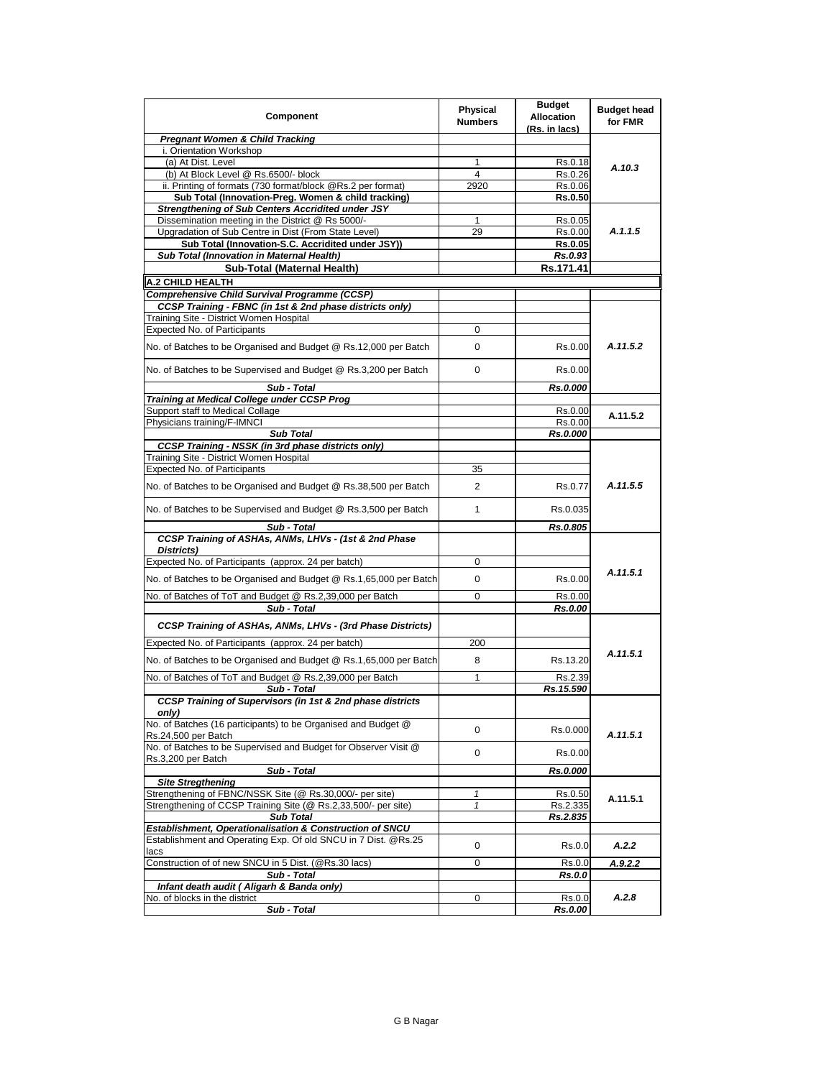| Component                                                                             | <b>Physical</b><br><b>Numbers</b> | <b>Budget</b><br>Allocation<br>(Rs. in lacs) | <b>Budget head</b><br>for FMR |
|---------------------------------------------------------------------------------------|-----------------------------------|----------------------------------------------|-------------------------------|
| <b>Pregnant Women &amp; Child Tracking</b>                                            |                                   |                                              |                               |
| i. Orientation Workshop                                                               |                                   |                                              |                               |
| (a) At Dist. Level                                                                    | 1                                 | Rs.0.18                                      | A.10.3                        |
| (b) At Block Level @ Rs.6500/- block                                                  | $\overline{4}$                    | Rs.0.26                                      |                               |
| ii. Printing of formats (730 format/block @Rs.2 per format)                           | 2920                              | Rs.0.06                                      |                               |
| Sub Total (Innovation-Preg. Women & child tracking)                                   |                                   | <b>Rs.0.50</b>                               |                               |
| Strengthening of Sub Centers Accridited under JSY                                     |                                   |                                              |                               |
| Dissemination meeting in the District @ Rs 5000/-                                     | 1                                 | Rs.0.05                                      |                               |
| Upgradation of Sub Centre in Dist (From State Level)                                  | 29                                | Rs.0.00                                      | A.1.1.5                       |
| Sub Total (Innovation-S.C. Accridited under JSY))                                     |                                   | Rs.0.05                                      |                               |
| Sub Total (Innovation in Maternal Health)                                             |                                   | Rs.0.93                                      |                               |
| Sub-Total (Maternal Health)                                                           |                                   | Rs.171.41                                    |                               |
| A.2 CHILD HEALTH                                                                      |                                   |                                              |                               |
| <b>Comprehensive Child Survival Programme (CCSP)</b>                                  |                                   |                                              |                               |
| CCSP Training - FBNC (in 1st & 2nd phase districts only)                              |                                   |                                              |                               |
| Training Site - District Women Hospital                                               |                                   |                                              |                               |
| <b>Expected No. of Participants</b>                                                   | 0                                 |                                              |                               |
| No. of Batches to be Organised and Budget @ Rs.12,000 per Batch                       | 0                                 | Rs.0.00                                      | A.11.5.2                      |
| No. of Batches to be Supervised and Budget @ Rs.3,200 per Batch                       | 0                                 | Rs.0.00                                      |                               |
| Sub - Total                                                                           |                                   | Rs.0.000                                     |                               |
| Training at Medical College under CCSP Prog                                           |                                   |                                              |                               |
| Support staff to Medical Collage                                                      |                                   | Rs.0.00                                      | A.11.5.2                      |
| Physicians training/F-IMNCI                                                           |                                   | Rs.0.00                                      |                               |
| <b>Sub Total</b>                                                                      |                                   | Rs.0.000                                     |                               |
| <b>CCSP Training - NSSK (in 3rd phase districts only)</b>                             |                                   |                                              |                               |
| Training Site - District Women Hospital                                               |                                   |                                              |                               |
| Expected No. of Participants                                                          | 35                                |                                              |                               |
| No. of Batches to be Organised and Budget @ Rs.38,500 per Batch                       | 2                                 | Rs.0.77                                      | A.11.5.5                      |
| No. of Batches to be Supervised and Budget @ Rs.3,500 per Batch                       | 1                                 | Rs.0.035                                     |                               |
| Sub - Total                                                                           |                                   | Rs.0.805                                     |                               |
| CCSP Training of ASHAs, ANMs, LHVs - (1st & 2nd Phase<br>Districts)                   |                                   |                                              |                               |
| Expected No. of Participants (approx. 24 per batch)                                   | 0                                 |                                              |                               |
| No. of Batches to be Organised and Budget @ Rs.1,65,000 per Batch                     | 0                                 | Rs.0.00                                      | A.11.5.1                      |
| No. of Batches of ToT and Budget @ Rs.2,39,000 per Batch                              | 0                                 | Rs.0.00                                      |                               |
| Sub - Total                                                                           |                                   | Rs.0.00                                      |                               |
| CCSP Training of ASHAs, ANMs, LHVs - (3rd Phase Districts)                            |                                   |                                              |                               |
| Expected No. of Participants (approx. 24 per batch)                                   | 200                               |                                              |                               |
| No. of Batches to be Organised and Budget @ Rs.1,65,000 per Batch                     | 8                                 | Rs.13.20                                     | A.11.5.1                      |
| No. of Batches of ToT and Budget @ Rs.2,39,000 per Batch                              | 1                                 | Rs.2.39                                      |                               |
| Sub - Total                                                                           |                                   | Rs.15.590                                    |                               |
| CCSP Training of Supervisors (in 1st & 2nd phase districts<br>only)                   |                                   |                                              |                               |
| No. of Batches (16 participants) to be Organised and Budget @<br>Rs.24,500 per Batch  | 0                                 | Rs.0.000                                     | A.11.5.1                      |
| No. of Batches to be Supervised and Budget for Observer Visit @<br>Rs.3,200 per Batch | 0                                 | Rs.0.00                                      |                               |
| Sub - Total                                                                           |                                   | Rs.0.000                                     |                               |
| <b>Site Stregthening</b>                                                              |                                   |                                              |                               |
| Strengthening of FBNC/NSSK Site (@ Rs.30,000/- per site)                              | 1                                 | Rs.0.50                                      | A.11.5.1                      |
| Strengthening of CCSP Training Site (@ Rs.2,33,500/- per site)                        | $\mathbf{1}$                      | Rs.2.335                                     |                               |
| <b>Sub Total</b>                                                                      |                                   | Rs.2.835                                     |                               |
| Establishment, Operationalisation & Construction of SNCU                              |                                   |                                              |                               |
| Establishment and Operating Exp. Of old SNCU in 7 Dist. @Rs.25<br>lacs                | 0                                 | Rs.0.0                                       | A.2.2                         |
| Construction of of new SNCU in 5 Dist. (@Rs.30 lacs)                                  | 0                                 | Rs.0.0                                       | A.9.2.2                       |
| Sub - Total                                                                           |                                   | Rs.0.0                                       |                               |
| Infant death audit (Aligarh & Banda only)                                             |                                   |                                              |                               |
| No. of blocks in the district                                                         | 0                                 | Rs.0.0                                       | A.2.8                         |
| Sub - Total                                                                           |                                   | Rs.0.00                                      |                               |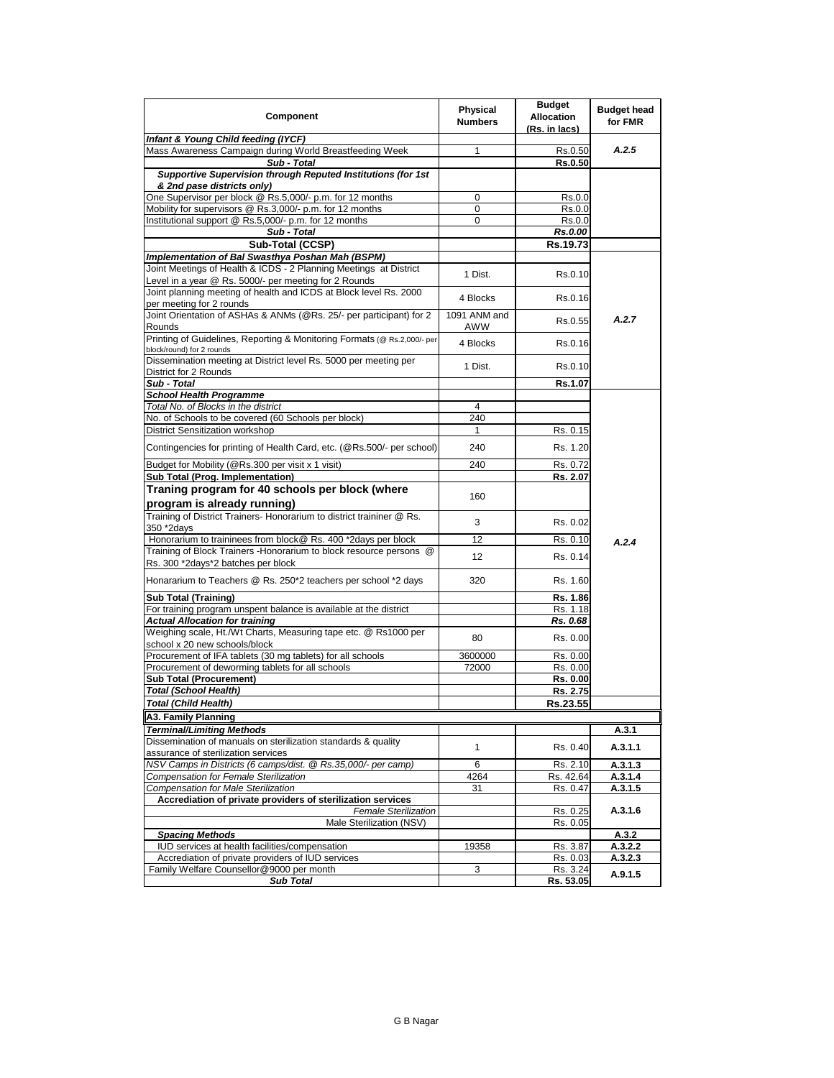| Component                                                                                                                  | <b>Physical</b><br><b>Numbers</b> | <b>Budget</b><br><b>Allocation</b><br>(Rs. in lacs) | <b>Budget head</b><br>for FMR |
|----------------------------------------------------------------------------------------------------------------------------|-----------------------------------|-----------------------------------------------------|-------------------------------|
| Infant & Young Child feeding (IYCF)                                                                                        |                                   |                                                     |                               |
| Mass Awareness Campaign during World Breastfeeding Week                                                                    | 1                                 | Rs.0.50                                             | A.2.5                         |
| Sub - Total                                                                                                                |                                   | Rs.0.50                                             |                               |
| Supportive Supervision through Reputed Institutions (for 1st<br>& 2nd pase districts only)                                 |                                   |                                                     |                               |
| One Supervisor per block @ Rs.5,000/- p.m. for 12 months                                                                   | 0                                 | Rs.0.0                                              |                               |
| Mobility for supervisors @ Rs.3,000/- p.m. for 12 months                                                                   | 0                                 | Rs.0.0                                              |                               |
| Institutional support @ Rs.5,000/- p.m. for 12 months                                                                      | 0                                 | Rs.0.0                                              |                               |
| Sub - Total                                                                                                                |                                   | <b>Rs.0.00</b>                                      |                               |
| Sub-Total (CCSP)                                                                                                           |                                   | Rs.19.73                                            |                               |
| Implementation of Bal Swasthya Poshan Mah (BSPM)                                                                           |                                   |                                                     |                               |
| Joint Meetings of Health & ICDS - 2 Planning Meetings at District<br>Level in a year @ Rs. 5000/- per meeting for 2 Rounds | 1 Dist.                           | Rs.0.10                                             |                               |
| Joint planning meeting of health and ICDS at Block level Rs. 2000                                                          |                                   |                                                     |                               |
| per meeting for 2 rounds                                                                                                   | 4 Blocks                          | Rs.0.16                                             |                               |
| Joint Orientation of ASHAs & ANMs (@Rs. 25/- per participant) for 2                                                        | 1091 ANM and                      |                                                     |                               |
| Rounds                                                                                                                     | AWW                               | Rs.0.55                                             | A.2.7                         |
| Printing of Guidelines, Reporting & Monitoring Formats (@ Rs.2,000/- per<br>block/round) for 2 rounds                      | 4 Blocks                          | Rs.0.16                                             |                               |
| Dissemination meeting at District level Rs. 5000 per meeting per<br>District for 2 Rounds                                  | 1 Dist.                           | Rs.0.10                                             |                               |
| Sub - Total                                                                                                                |                                   | Rs.1.07                                             |                               |
| <b>School Health Programme</b>                                                                                             |                                   |                                                     |                               |
| Total No. of Blocks in the district                                                                                        | 4                                 |                                                     |                               |
| No. of Schools to be covered (60 Schools per block)                                                                        | 240                               |                                                     |                               |
| District Sensitization workshop                                                                                            | 1                                 | Rs. 0.15                                            |                               |
| Contingencies for printing of Health Card, etc. (@Rs.500/- per school)                                                     | 240                               | Rs. 1.20                                            |                               |
|                                                                                                                            |                                   |                                                     |                               |
| Budget for Mobility (@Rs.300 per visit x 1 visit)                                                                          | 240                               | Rs. 0.72                                            |                               |
| Sub Total (Prog. Implementation)                                                                                           |                                   | Rs. 2.07                                            |                               |
| Traning program for 40 schools per block (where                                                                            | 160                               |                                                     |                               |
| program is already running)                                                                                                |                                   |                                                     |                               |
| Training of District Trainers- Honorarium to district traininer @ Rs.<br>350 *2days                                        | 3                                 | Rs. 0.02                                            |                               |
| Honorarium to traininees from block@ Rs. 400 *2days per block                                                              | 12                                | Rs. 0.10                                            |                               |
| Training of Block Trainers - Honorarium to block resource persons @                                                        |                                   |                                                     | A.2.4                         |
| Rs. 300 *2days*2 batches per block                                                                                         | 12                                | Rs. 0.14                                            |                               |
| Honararium to Teachers @ Rs. 250*2 teachers per school *2 days                                                             | 320                               | Rs. 1.60                                            |                               |
| <b>Sub Total (Training)</b>                                                                                                |                                   | Rs. 1.86                                            |                               |
| For training program unspent balance is available at the district                                                          |                                   | Rs. 1.18                                            |                               |
| <b>Actual Allocation for training</b>                                                                                      |                                   | Rs. 0.68                                            |                               |
| Weighing scale, Ht./Wt Charts, Measuring tape etc. @ Rs1000 per<br>school x 20 new schools/block                           | 80                                | Rs. 0.00                                            |                               |
| Procurement of IFA tablets (30 mg tablets) for all schools                                                                 | 3600000                           | Rs. 0.00                                            |                               |
| Procurement of deworming tablets for all schools                                                                           | 72000                             | Rs. 0.00                                            |                               |
| <b>Sub Total (Procurement)</b>                                                                                             |                                   | Rs. 0.00                                            |                               |
| Total (School Health)                                                                                                      |                                   | Rs. 2.75                                            |                               |
| <b>Total (Child Health)</b>                                                                                                |                                   | Rs.23.55                                            |                               |
| <b>A3. Family Planning</b>                                                                                                 |                                   |                                                     |                               |
|                                                                                                                            |                                   |                                                     |                               |
| Terminal/Limiting Methods<br>Dissemination of manuals on sterilization standards & quality                                 |                                   |                                                     | A.3.1                         |
| assurance of sterilization services                                                                                        | 1                                 | Rs. 0.40                                            | A.3.1.1                       |
| NSV Camps in Districts (6 camps/dist. @ Rs.35,000/- per camp)                                                              | 6                                 | Rs. 2.10                                            | A.3.1.3                       |
| Compensation for Female Sterilization                                                                                      | 4264                              | Rs. 42.64                                           | A.3.1.4                       |
| <b>Compensation for Male Sterilization</b>                                                                                 | 31                                | Rs. 0.47                                            | A.3.1.5                       |
| Accrediation of private providers of sterilization services                                                                |                                   |                                                     |                               |
| <b>Female Sterilization</b>                                                                                                |                                   | Rs. 0.25                                            | A.3.1.6                       |
| Male Sterilization (NSV)                                                                                                   |                                   | Rs. 0.05                                            |                               |
| <b>Spacing Methods</b>                                                                                                     |                                   |                                                     | A.3.2                         |
| IUD services at health facilities/compensation                                                                             | 19358                             | Rs. 3.87                                            | A.3.2.2                       |
| Accrediation of private providers of IUD services                                                                          |                                   | Rs. 0.03                                            | A.3.2.3                       |
| Family Welfare Counsellor@9000 per month                                                                                   | 3                                 | Rs. 3.24                                            | A.9.1.5                       |
| <b>Sub Total</b>                                                                                                           |                                   | Rs. 53.05                                           |                               |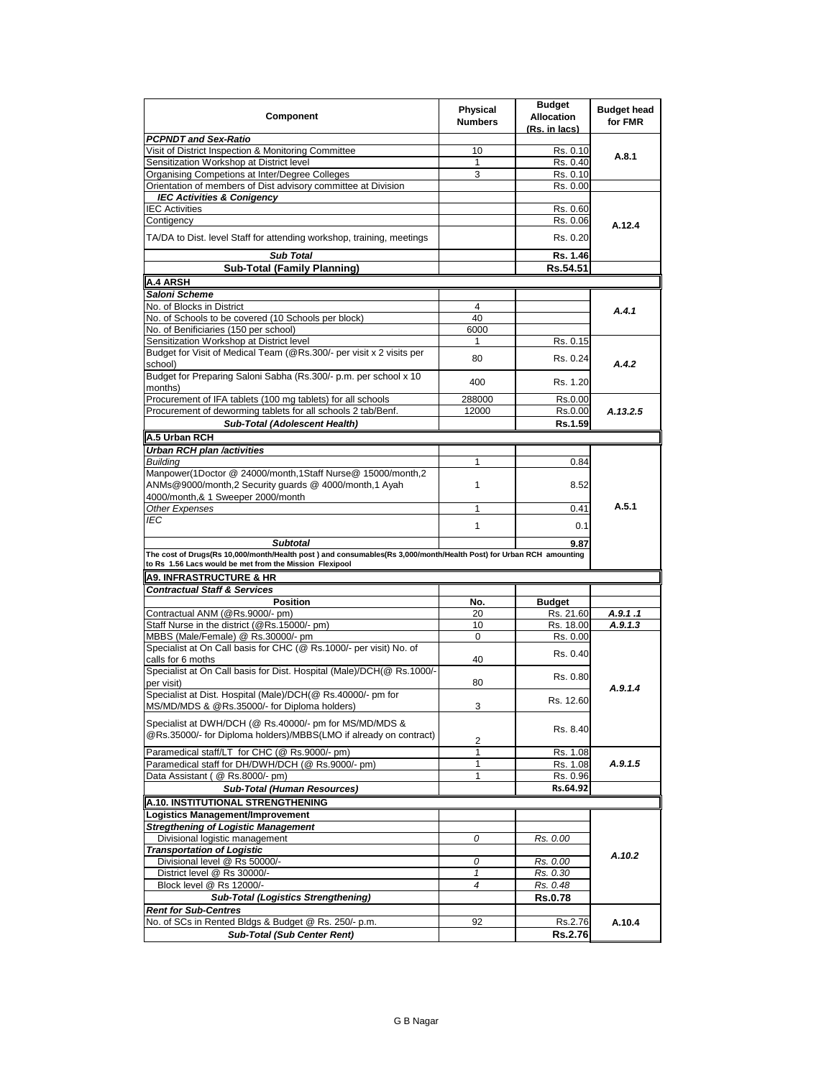| Component                                                                                                                   | <b>Physical</b><br><b>Numbers</b> | <b>Budget</b><br><b>Allocation</b><br>(Rs. in lacs) | <b>Budget head</b><br>for FMR |
|-----------------------------------------------------------------------------------------------------------------------------|-----------------------------------|-----------------------------------------------------|-------------------------------|
| <b>PCPNDT and Sex-Ratio</b>                                                                                                 |                                   |                                                     |                               |
| Visit of District Inspection & Monitoring Committee                                                                         | 10                                | Rs. 0.10                                            | A.8.1                         |
| Sensitization Workshop at District level                                                                                    | 1                                 | Rs. 0.40                                            |                               |
| Organising Competions at Inter/Degree Colleges                                                                              | 3                                 | Rs. 0.10                                            |                               |
| Orientation of members of Dist advisory committee at Division                                                               |                                   | Rs. 0.00                                            |                               |
| <b>IEC Activities &amp; Conigency</b>                                                                                       |                                   |                                                     |                               |
| <b>IEC Activities</b>                                                                                                       |                                   | Rs. 0.60                                            |                               |
| Contigency                                                                                                                  |                                   | Rs. 0.06                                            | A.12.4                        |
| TA/DA to Dist. level Staff for attending workshop, training, meetings                                                       |                                   | Rs. 0.20                                            |                               |
| <b>Sub Total</b>                                                                                                            |                                   | Rs. 1.46                                            |                               |
| <b>Sub-Total (Family Planning)</b>                                                                                          |                                   | Rs.54.51                                            |                               |
| <b>A.4 ARSH</b>                                                                                                             |                                   |                                                     |                               |
| Saloni Scheme                                                                                                               |                                   |                                                     |                               |
| No. of Blocks in District                                                                                                   | 4                                 |                                                     |                               |
| No. of Schools to be covered (10 Schools per block)                                                                         | 40                                |                                                     | A.4.1                         |
|                                                                                                                             | 6000                              |                                                     |                               |
| No. of Benificiaries (150 per school)                                                                                       |                                   |                                                     |                               |
| Sensitization Workshop at District level                                                                                    | 1                                 | Rs. 0.15                                            |                               |
| Budget for Visit of Medical Team (@Rs.300/- per visit x 2 visits per<br>school)                                             | 80                                | Rs. 0.24                                            | A.4.2                         |
| Budget for Preparing Saloni Sabha (Rs.300/- p.m. per school x 10<br>months)                                                 | 400                               | Rs. 1.20                                            |                               |
| Procurement of IFA tablets (100 mg tablets) for all schools                                                                 | 288000                            | Rs.0.00                                             |                               |
| Procurement of deworming tablets for all schools 2 tab/Benf.                                                                | 12000                             | Rs.0.00                                             | A.13.2.5                      |
| Sub-Total (Adolescent Health)                                                                                               |                                   | Rs.1.59                                             |                               |
| A.5 Urban RCH                                                                                                               |                                   |                                                     |                               |
|                                                                                                                             |                                   |                                                     |                               |
| Urban RCH plan /activities                                                                                                  |                                   |                                                     |                               |
| <b>Buildina</b>                                                                                                             | 1                                 | 0.84                                                |                               |
| Manpower(1Doctor @ 24000/month,1Staff Nurse@ 15000/month,2<br>ANMs@9000/month,2 Security quards @ 4000/month,1 Ayah         | 1                                 | 8.52                                                |                               |
| 4000/month,& 1 Sweeper 2000/month                                                                                           |                                   |                                                     |                               |
| Other Expenses                                                                                                              | 1                                 | 0.41                                                | A.5.1                         |
| <b>IEC</b>                                                                                                                  | $\mathbf{1}$                      | 0.1                                                 |                               |
|                                                                                                                             |                                   |                                                     |                               |
| <b>Subtotal</b>                                                                                                             |                                   | 9.87                                                |                               |
| The cost of Drugs(Rs 10,000/month/Health post) and consumables(Rs 3,000/month/Health Post) for Urban RCH amounting          |                                   |                                                     |                               |
| to Rs 1.56 Lacs would be met from the Mission Flexipool                                                                     |                                   |                                                     |                               |
| <b>A9. INFRASTRUCTURE &amp; HR</b>                                                                                          |                                   |                                                     |                               |
| <b>Contractual Staff &amp; Services</b>                                                                                     |                                   |                                                     |                               |
| <b>Position</b>                                                                                                             | No.                               | <b>Budget</b>                                       |                               |
| Contractual ANM (@Rs.9000/- pm)                                                                                             | 20                                | Rs. 21.60                                           | A.9.1.1                       |
| Staff Nurse in the district (@Rs.15000/- pm)                                                                                | 10                                | Rs. 18.00                                           | A.9.1.3                       |
| MBBS (Male/Female) @ Rs.30000/- pm                                                                                          | $\Omega$                          | Rs. 0.00                                            |                               |
| Specialist at On Call basis for CHC (@ Rs.1000/- per visit) No. of<br>calls for 6 moths                                     | 40                                | Rs. 0.40                                            |                               |
| Specialist at On Call basis for Dist. Hospital (Male)/DCH(@ Rs.1000/-                                                       |                                   |                                                     |                               |
| per visit)                                                                                                                  | 80                                | Rs. 0.80                                            | A.9.1.4                       |
| Specialist at Dist. Hospital (Male)/DCH(@ Rs.40000/- pm for<br>MS/MD/MDS & @Rs.35000/- for Diploma holders)                 | 3                                 | Rs. 12.60                                           |                               |
|                                                                                                                             |                                   |                                                     |                               |
| Specialist at DWH/DCH (@ Rs.40000/- pm for MS/MD/MDS &<br>@Rs.35000/- for Diploma holders)/MBBS(LMO if already on contract) |                                   | Rs. 8.40                                            |                               |
|                                                                                                                             | 2                                 |                                                     |                               |
| Paramedical staff/LT for CHC (@ Rs.9000/- pm)                                                                               | 1                                 | Rs. 1.08                                            |                               |
| Paramedical staff for DH/DWH/DCH (@ Rs.9000/- pm)                                                                           | 1                                 | Rs. 1.08                                            | A.9.1.5                       |
| Data Assistant (@ Rs.8000/- pm)                                                                                             | 1                                 | Rs. 0.96                                            |                               |
| Sub-Total (Human Resources)                                                                                                 |                                   | Rs.64.92                                            |                               |
| A.10. INSTITUTIONAL STRENGTHENING                                                                                           |                                   |                                                     |                               |
| Logistics Management/Improvement                                                                                            |                                   |                                                     |                               |
| <b>Stregthening of Logistic Management</b>                                                                                  |                                   |                                                     |                               |
| Divisional logistic management                                                                                              | 0                                 | Rs. 0.00                                            |                               |
| <b>Transportation of Logistic</b>                                                                                           |                                   |                                                     |                               |
| Divisional level @ Rs 50000/-                                                                                               | 0                                 | Rs. 0.00                                            | A.10.2                        |
| District level @ Rs 30000/-                                                                                                 | $\mathcal I$                      | Rs. 0.30                                            |                               |
|                                                                                                                             | 4                                 |                                                     |                               |
| Block level @ Rs 12000/-                                                                                                    |                                   | Rs. 0.48                                            |                               |
| <b>Sub-Total (Logistics Strengthening)</b>                                                                                  |                                   | Rs.0.78                                             |                               |
| <b>Rent for Sub-Centres</b>                                                                                                 |                                   |                                                     |                               |
| No. of SCs in Rented Bldgs & Budget @ Rs. 250/- p.m.                                                                        | 92                                | Rs.2.76                                             | A.10.4                        |
| <b>Sub-Total (Sub Center Rent)</b>                                                                                          |                                   | <b>Rs.2.76</b>                                      |                               |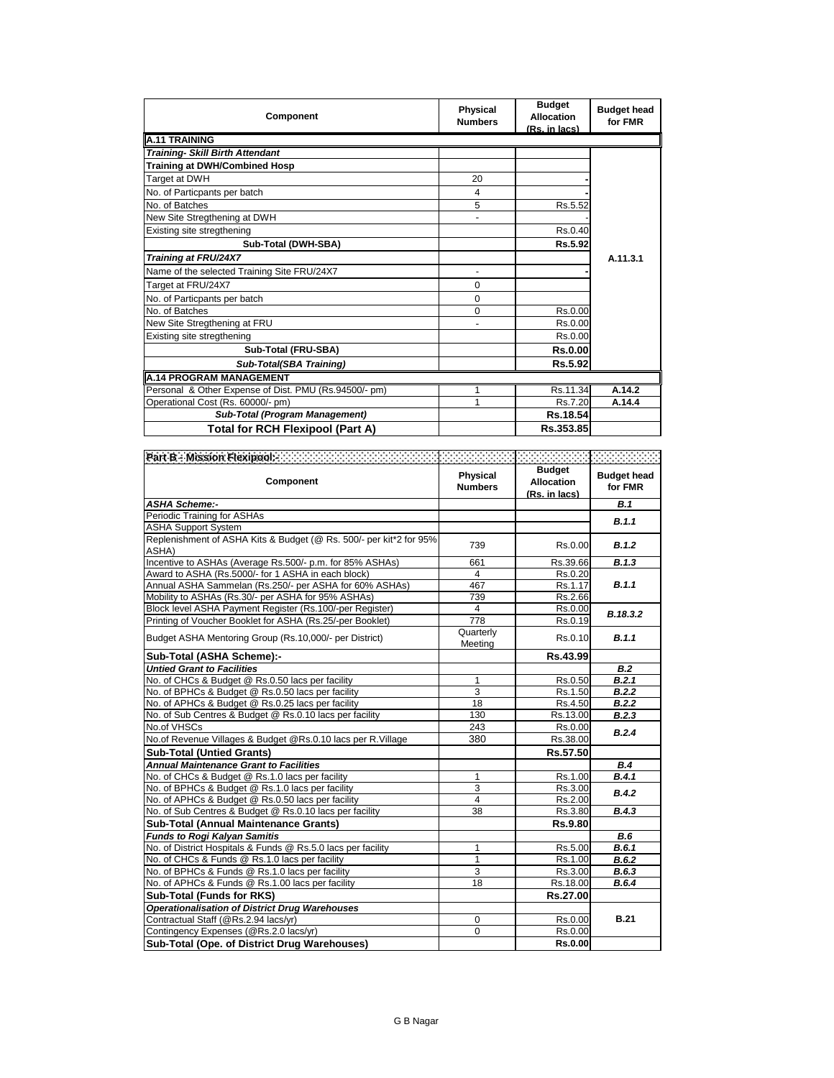| Component                                             | <b>Physical</b><br><b>Numbers</b> | <b>Budget</b><br><b>Allocation</b><br>(Rs. in lacs) | <b>Budget head</b><br>for FMR |  |
|-------------------------------------------------------|-----------------------------------|-----------------------------------------------------|-------------------------------|--|
| A.11 TRAINING                                         |                                   |                                                     |                               |  |
| <b>Training- Skill Birth Attendant</b>                |                                   |                                                     |                               |  |
| <b>Training at DWH/Combined Hosp</b>                  |                                   |                                                     |                               |  |
| Target at DWH                                         | 20                                |                                                     |                               |  |
| No. of Particpants per batch                          | 4                                 |                                                     |                               |  |
| No. of Batches                                        | 5                                 | Rs.5.52                                             |                               |  |
| New Site Stregthening at DWH                          |                                   |                                                     |                               |  |
| Existing site stregthening                            |                                   | Rs.0.40                                             |                               |  |
| Sub-Total (DWH-SBA)                                   |                                   | Rs.5.92                                             |                               |  |
| Training at FRU/24X7                                  |                                   |                                                     | A.11.3.1                      |  |
| Name of the selected Training Site FRU/24X7           |                                   |                                                     |                               |  |
| Target at FRU/24X7                                    | $\Omega$                          |                                                     |                               |  |
| No. of Particpants per batch                          | $\Omega$                          |                                                     |                               |  |
| No. of Batches                                        | $\Omega$                          | Rs.0.00                                             |                               |  |
| New Site Stregthening at FRU                          |                                   | Rs.0.00                                             |                               |  |
| Existing site stregthening                            |                                   | Rs.0.00                                             |                               |  |
| Sub-Total (FRU-SBA)                                   |                                   | <b>Rs.0.00</b>                                      |                               |  |
| Sub-Total(SBA Training)                               |                                   | Rs.5.92                                             |                               |  |
| A.14 PROGRAM MANAGEMENT                               |                                   |                                                     |                               |  |
| Personal & Other Expense of Dist. PMU (Rs.94500/- pm) | 1                                 | Rs.11.34                                            | A.14.2                        |  |
| Operational Cost (Rs. 60000/- pm)                     | 1                                 | Rs.7.20                                             | A.14.4                        |  |
| <b>Sub-Total (Program Management)</b>                 |                                   | Rs.18.54                                            |                               |  |
| <b>Total for RCH Flexipool (Part A)</b>               |                                   | Rs.353.85                                           |                               |  |

| Part B - Mission Flexipool: New York                                        |                            |                                                     |                               |
|-----------------------------------------------------------------------------|----------------------------|-----------------------------------------------------|-------------------------------|
| Component                                                                   | Physical<br><b>Numbers</b> | <b>Budget</b><br><b>Allocation</b><br>(Rs. in lacs) | <b>Budget head</b><br>for FMR |
| <b>ASHA Scheme:-</b>                                                        |                            |                                                     | <b>B.1</b>                    |
| Periodic Training for ASHAs                                                 |                            |                                                     | B.1.1                         |
| <b>ASHA Support System</b>                                                  |                            |                                                     |                               |
| Replenishment of ASHA Kits & Budget (@ Rs. 500/- per kit*2 for 95%<br>ASHA) | 739                        | Rs.0.00                                             | B.1.2                         |
| Incentive to ASHAs (Average Rs.500/- p.m. for 85% ASHAs)                    | 661                        | Rs.39.66                                            | B.1.3                         |
| Award to ASHA (Rs.5000/- for 1 ASHA in each block)                          | 4                          | Rs.0.20                                             |                               |
| Annual ASHA Sammelan (Rs.250/- per ASHA for 60% ASHAs)                      | 467                        | Rs.1.17                                             | B.1.1                         |
| Mobility to ASHAs (Rs.30/- per ASHA for 95% ASHAs)                          | 739                        | Rs.2.66                                             |                               |
| Block level ASHA Payment Register (Rs.100/-per Register)                    | $\overline{4}$             | Rs.0.00                                             | B.18.3.2                      |
| Printing of Voucher Booklet for ASHA (Rs.25/-per Booklet)                   | 778                        | Rs.0.19                                             |                               |
| Budget ASHA Mentoring Group (Rs.10,000/- per District)                      | Quarterly<br>Meeting       | Rs.0.10                                             | B.1.1                         |
| Sub-Total (ASHA Scheme):-                                                   |                            | Rs.43.99                                            |                               |
| <b>Untied Grant to Facilities</b>                                           |                            |                                                     | <b>B.2</b>                    |
| No. of CHCs & Budget @ Rs.0.50 lacs per facility                            | 1                          | Rs.0.50                                             | B.2.1                         |
| No. of BPHCs & Budget @ Rs.0.50 lacs per facility                           | 3                          | Rs.1.50                                             | B.2.2                         |
| No. of APHCs & Budget @ Rs.0.25 lacs per facility                           | 18                         | Rs.4.50                                             | B.2.2                         |
| No. of Sub Centres & Budget @ Rs.0.10 lacs per facility                     | 130                        | Rs.13.00                                            | B.2.3                         |
| No.of VHSCs                                                                 | 243                        | Rs.0.00                                             | B.2.4                         |
| No.of Revenue Villages & Budget @Rs.0.10 lacs per R.Village                 | 380                        | Rs.38.00                                            |                               |
| <b>Sub-Total (Untied Grants)</b>                                            |                            | Rs.57.50                                            |                               |
| <b>Annual Maintenance Grant to Facilities</b>                               |                            |                                                     | <b>B.4</b>                    |
| No. of CHCs & Budget @ Rs.1.0 lacs per facility                             | 1                          | Rs.1.00                                             | B.4.1                         |
| No. of BPHCs & Budget @ Rs.1.0 lacs per facility                            | 3                          | Rs.3.00                                             | B.4.2                         |
| No. of APHCs & Budget @ Rs.0.50 lacs per facility                           | 4                          | Rs.2.00                                             |                               |
| No. of Sub Centres & Budget @ Rs.0.10 lacs per facility                     | 38                         | Rs.3.80                                             | B.4.3                         |
| <b>Sub-Total (Annual Maintenance Grants)</b>                                |                            | Rs.9.80                                             |                               |
| <b>Funds to Rogi Kalyan Samitis</b>                                         |                            |                                                     | B.6                           |
| No. of District Hospitals & Funds @ Rs.5.0 lacs per facility                | 1                          | Rs.5.00                                             | B.6.1                         |
| No. of CHCs & Funds @ Rs.1.0 lacs per facility                              | 1                          | Rs.1.00                                             | B.6.2                         |
| No. of BPHCs & Funds @ Rs.1.0 lacs per facility                             | 3                          | Rs.3.00                                             | B.6.3                         |
| No. of APHCs & Funds @ Rs.1.00 lacs per facility                            | 18                         | Rs.18.00                                            | B.6.4                         |
| <b>Sub-Total (Funds for RKS)</b>                                            |                            | Rs.27.00                                            |                               |
| <b>Operationalisation of District Drug Warehouses</b>                       |                            |                                                     |                               |
| Contractual Staff (@Rs.2.94 lacs/yr)                                        | 0                          | Rs.0.00                                             | <b>B.21</b>                   |
| Contingency Expenses (@Rs.2.0 lacs/yr)                                      | $\mathbf 0$                | Rs.0.00                                             |                               |
| Sub-Total (Ope. of District Drug Warehouses)                                |                            | <b>Rs.0.00</b>                                      |                               |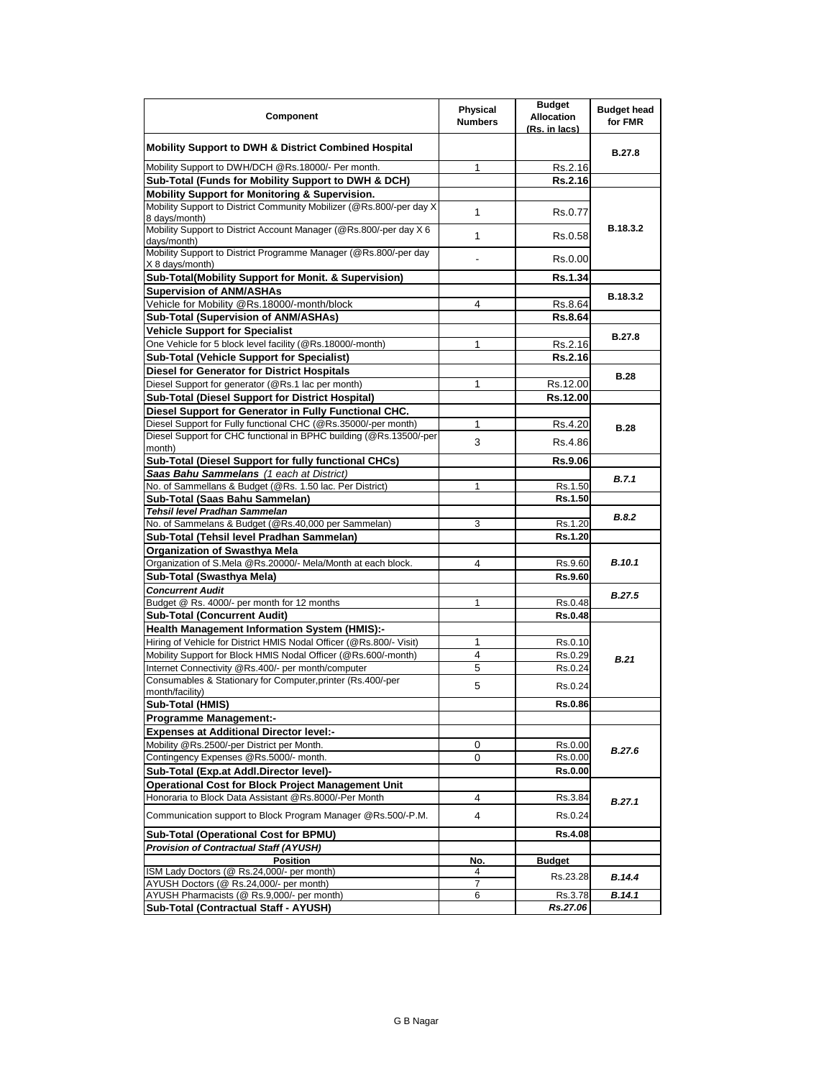| Component                                                                                                             | <b>Physical</b><br><b>Numbers</b> | <b>Budget</b><br><b>Allocation</b><br>(Rs. in lacs) | <b>Budget head</b><br>for FMR |
|-----------------------------------------------------------------------------------------------------------------------|-----------------------------------|-----------------------------------------------------|-------------------------------|
| <b>Mobility Support to DWH &amp; District Combined Hospital</b>                                                       |                                   |                                                     | B.27.8                        |
| Mobility Support to DWH/DCH @Rs.18000/- Per month.                                                                    | 1                                 | Rs.2.16                                             |                               |
| Sub-Total (Funds for Mobility Support to DWH & DCH)                                                                   |                                   | Rs.2.16                                             |                               |
| Mobility Support for Monitoring & Supervision.                                                                        |                                   |                                                     |                               |
| Mobility Support to District Community Mobilizer (@Rs.800/-per day X)<br>8 days/month)                                | 1                                 | Rs.0.77                                             |                               |
| Mobility Support to District Account Manager (@Rs.800/-per day X 6<br>davs/month)                                     | 1                                 | Rs.0.58                                             | B.18.3.2                      |
| Mobility Support to District Programme Manager (@Rs.800/-per day<br>X 8 days/month)                                   |                                   | Rs.0.00                                             |                               |
| Sub-Total(Mobility Support for Monit. & Supervision)                                                                  |                                   | Rs.1.34                                             |                               |
| <b>Supervision of ANM/ASHAs</b>                                                                                       |                                   |                                                     |                               |
| Vehicle for Mobility @Rs.18000/-month/block                                                                           | 4                                 | Rs.8.64                                             | B.18.3.2                      |
| Sub-Total (Supervision of ANM/ASHAs)                                                                                  |                                   | Rs.8.64                                             |                               |
| <b>Vehicle Support for Specialist</b>                                                                                 |                                   |                                                     |                               |
| One Vehicle for 5 block level facility (@Rs.18000/-month)                                                             | 1                                 | Rs.2.16                                             | B.27.8                        |
| Sub-Total (Vehicle Support for Specialist)                                                                            |                                   | <b>Rs.2.16</b>                                      |                               |
| Diesel for Generator for District Hospitals                                                                           |                                   |                                                     | <b>B.28</b>                   |
| Diesel Support for generator (@Rs.1 lac per month)                                                                    | 1                                 | Rs.12.00                                            |                               |
| Sub-Total (Diesel Support for District Hospital)                                                                      |                                   | Rs.12.00                                            |                               |
| Diesel Support for Generator in Fully Functional CHC.                                                                 |                                   |                                                     |                               |
| Diesel Support for Fully functional CHC (@Rs.35000/-per month)                                                        | 1                                 | Rs.4.20                                             | <b>B.28</b>                   |
| Diesel Support for CHC functional in BPHC building (@Rs.13500/-per<br>month)                                          | 3                                 | Rs.4.86                                             |                               |
| Sub-Total (Diesel Support for fully functional CHCs)                                                                  |                                   | Rs.9.06                                             |                               |
| Saas Bahu Sammelans (1 each at District)                                                                              |                                   |                                                     | B.7.1                         |
| No. of Sammellans & Budget (@Rs. 1.50 lac. Per District)                                                              | 1                                 | Rs.1.50                                             |                               |
| Sub-Total (Saas Bahu Sammelan)                                                                                        |                                   | Rs.1.50                                             |                               |
| Tehsil level Pradhan Sammelan                                                                                         |                                   |                                                     | B.8.2                         |
| No. of Sammelans & Budget (@Rs.40,000 per Sammelan)                                                                   | 3                                 | Rs.1.20                                             |                               |
| Sub-Total (Tehsil level Pradhan Sammelan)                                                                             |                                   | Rs.1.20                                             |                               |
| <b>Organization of Swasthya Mela</b>                                                                                  |                                   |                                                     | <b>B.10.1</b>                 |
| Organization of S.Mela @Rs.20000/- Mela/Month at each block.                                                          | 4                                 | Rs.9.60                                             |                               |
| Sub-Total (Swasthya Mela)<br><b>Concurrent Audit</b>                                                                  |                                   | Rs.9.60                                             |                               |
| Budget @ Rs. 4000/- per month for 12 months                                                                           | 1                                 | Rs.0.48                                             | <b>B.27.5</b>                 |
| <b>Sub-Total (Concurrent Audit)</b>                                                                                   |                                   | Rs.0.48                                             |                               |
| <b>Health Management Information System (HMIS):-</b>                                                                  |                                   |                                                     |                               |
| Hiring of Vehicle for District HMIS Nodal Officer (@Rs.800/- Visit)                                                   | 1                                 | Rs.0.10                                             |                               |
| Mobility Support for Block HMIS Nodal Officer (@Rs.600/-month)                                                        | 4                                 | Rs.0.29                                             |                               |
| Internet Connectivity @Rs.400/- per month/computer                                                                    | 5                                 | Rs.0.24                                             | B.21                          |
| Consumables & Stationary for Computer, printer (Rs.400/-per                                                           |                                   |                                                     |                               |
| month/facility)                                                                                                       | 5                                 | Rs.0.24                                             |                               |
| Sub-Total (HMIS)                                                                                                      |                                   | <b>Rs.0.86</b>                                      |                               |
| <b>Programme Management:-</b>                                                                                         |                                   |                                                     |                               |
| <b>Expenses at Additional Director level:-</b>                                                                        |                                   |                                                     |                               |
| Mobility @Rs.2500/-per District per Month.                                                                            | 0                                 | Rs.0.00                                             | B.27.6                        |
| Contingency Expenses @Rs.5000/- month.                                                                                | 0                                 | Rs.0.00                                             |                               |
| Sub-Total (Exp.at Addl.Director level)-                                                                               |                                   | Rs.0.00                                             |                               |
| <b>Operational Cost for Block Project Management Unit</b>                                                             |                                   |                                                     |                               |
| Honoraria to Block Data Assistant @Rs.8000/-Per Month<br>Communication support to Block Program Manager @Rs.500/-P.M. | 4<br>4                            | Rs.3.84<br>Rs.0.24                                  | B.27.1                        |
|                                                                                                                       |                                   |                                                     |                               |
| Sub-Total (Operational Cost for BPMU)                                                                                 |                                   | Rs.4.08                                             |                               |
| <b>Provision of Contractual Staff (AYUSH)</b>                                                                         |                                   |                                                     |                               |
| <b>Position</b>                                                                                                       | No.                               | <b>Budget</b>                                       |                               |
| ISM Lady Doctors (@ Rs.24,000/- per month)<br>AYUSH Doctors (@ Rs.24,000/- per month)                                 | 4<br>7                            | Rs.23.28                                            | B.14.4                        |
| AYUSH Pharmacists (@ Rs.9,000/- per month)                                                                            | 6                                 | Rs.3.78                                             | B.14.1                        |
| Sub-Total (Contractual Staff - AYUSH)                                                                                 |                                   | Rs.27.06                                            |                               |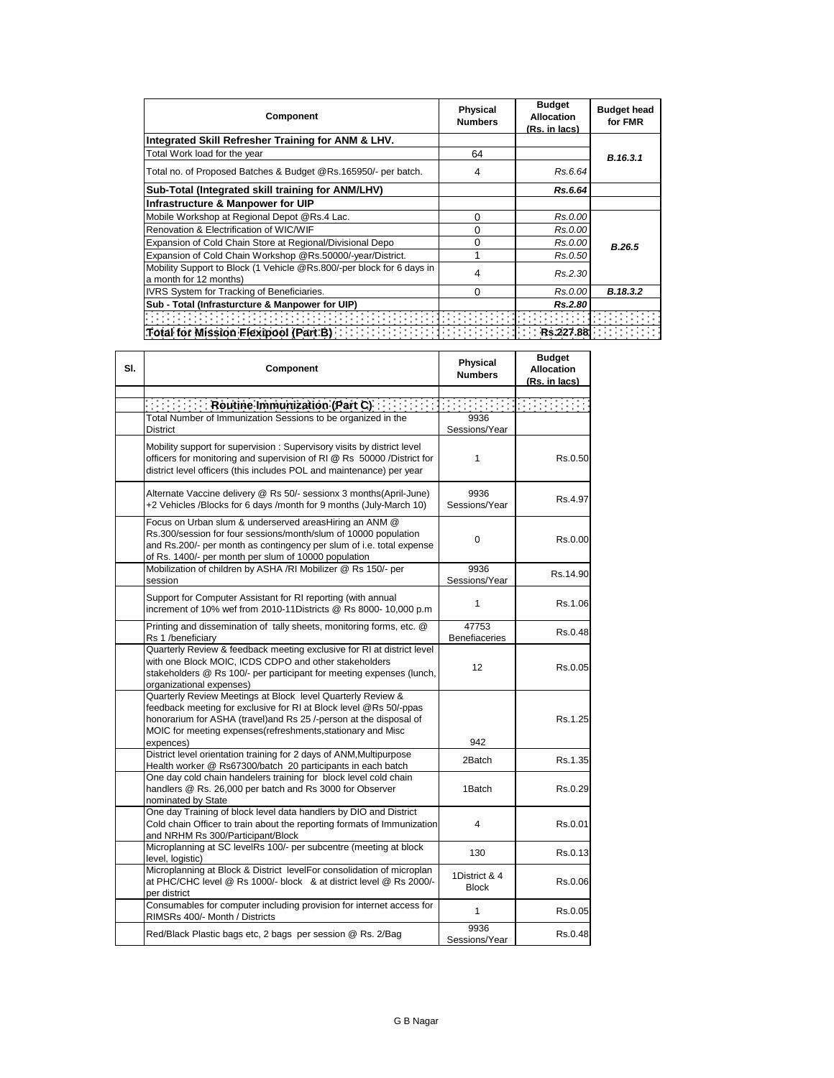| Component                                                                                       | <b>Physical</b><br><b>Numbers</b> | <b>Budget</b><br>Allocation<br>(Rs. in lacs) | <b>Budget head</b><br>for FMR |
|-------------------------------------------------------------------------------------------------|-----------------------------------|----------------------------------------------|-------------------------------|
| Integrated Skill Refresher Training for ANM & LHV.                                              |                                   |                                              |                               |
| Total Work load for the year                                                                    | 64                                |                                              | B.16.3.1                      |
| Total no. of Proposed Batches & Budget @Rs.165950/- per batch.                                  | 4                                 | Rs.6.64                                      |                               |
| Sub-Total (Integrated skill training for ANM/LHV)                                               |                                   | Rs.6.64                                      |                               |
| Infrastructure & Manpower for UIP                                                               |                                   |                                              |                               |
| Mobile Workshop at Regional Depot @Rs.4 Lac.                                                    | 0                                 | Rs.0.00                                      |                               |
| Renovation & Electrification of WIC/WIF                                                         | 0                                 | Rs.0.00                                      |                               |
| Expansion of Cold Chain Store at Regional/Divisional Depo                                       | 0                                 | Rs.0.00                                      | <b>B.26.5</b>                 |
| Expansion of Cold Chain Workshop @Rs.50000/-year/District.                                      |                                   | Rs.0.50                                      |                               |
| Mobility Support to Block (1 Vehicle @Rs.800/-per block for 6 days in<br>a month for 12 months) | 4                                 | Rs.2.30                                      |                               |
| <b>IVRS System for Tracking of Beneficiaries.</b>                                               | 0                                 | Rs.0.00                                      | B.18.3.2                      |
| Sub - Total (Infrasturcture & Manpower for UIP)                                                 |                                   | Rs.2.80                                      |                               |
|                                                                                                 |                                   |                                              |                               |
| Total for Mission Flexipool (Part B)                                                            |                                   |                                              |                               |

| SI. | Component                                                                                                                                                                                                                                                                         | Physical<br><b>Numbers</b>    | <b>Budget</b><br><b>Allocation</b><br>(Rs. in lacs) |
|-----|-----------------------------------------------------------------------------------------------------------------------------------------------------------------------------------------------------------------------------------------------------------------------------------|-------------------------------|-----------------------------------------------------|
|     | $\begin{bmatrix} \vdots & \vdots & \vdots \end{bmatrix}$ Routine Immunization (Part C)                                                                                                                                                                                            |                               |                                                     |
|     | Total Number of Immunization Sessions to be organized in the<br><b>District</b>                                                                                                                                                                                                   | 9936<br>Sessions/Year         |                                                     |
|     | Mobility support for supervision: Supervisory visits by district level<br>officers for monitoring and supervision of RI @ Rs 50000 /District for<br>district level officers (this includes POL and maintenance) per year                                                          | 1                             | Rs.0.50                                             |
|     | Alternate Vaccine delivery @ Rs 50/- sessionx 3 months(April-June)<br>+2 Vehicles /Blocks for 6 days /month for 9 months (July-March 10)                                                                                                                                          | 9936<br>Sessions/Year         | Rs.4.97                                             |
|     | Focus on Urban slum & underserved areasHiring an ANM @<br>Rs.300/session for four sessions/month/slum of 10000 population<br>and Rs.200/- per month as contingency per slum of i.e. total expense<br>of Rs. 1400/- per month per slum of 10000 population                         | 0                             | Rs.0.00                                             |
|     | Mobilization of children by ASHA /RI Mobilizer @ Rs 150/- per<br>session                                                                                                                                                                                                          | 9936<br>Sessions/Year         | Rs.14.90                                            |
|     | Support for Computer Assistant for RI reporting (with annual<br>increment of 10% wef from 2010-11Districts @ Rs 8000- 10,000 p.m                                                                                                                                                  | 1                             | Rs.1.06                                             |
|     | Printing and dissemination of tally sheets, monitoring forms, etc. @<br>Rs 1 /beneficiary                                                                                                                                                                                         | 47753<br><b>Benefiaceries</b> | Rs.0.48                                             |
|     | Quarterly Review & feedback meeting exclusive for RI at district level<br>with one Block MOIC, ICDS CDPO and other stakeholders<br>stakeholders @ Rs 100/- per participant for meeting expenses (lunch,<br>organizational expenses)                                               | 12                            | Rs.0.05                                             |
|     | Quarterly Review Meetings at Block level Quarterly Review &<br>feedback meeting for exclusive for RI at Block level @Rs 50/-ppas<br>honorarium for ASHA (travel)and Rs 25 /-person at the disposal of<br>MOIC for meeting expenses(refreshments, stationary and Misc<br>expences) | 942                           | Rs.1.25                                             |
|     | District level orientation training for 2 days of ANM, Multipurpose<br>Health worker @ Rs67300/batch 20 participants in each batch                                                                                                                                                | 2Batch                        | Rs.1.35                                             |
|     | One day cold chain handelers training for block level cold chain<br>handlers @ Rs. 26,000 per batch and Rs 3000 for Observer<br>nominated by State                                                                                                                                | 1Batch                        | Rs.0.29                                             |
|     | One day Training of block level data handlers by DIO and District<br>Cold chain Officer to train about the reporting formats of Immunization<br>and NRHM Rs 300/Participant/Block                                                                                                 | 4                             | Rs.0.01                                             |
|     | Microplanning at SC levelRs 100/- per subcentre (meeting at block<br>level, logistic)                                                                                                                                                                                             | 130                           | Rs.0.13                                             |
|     | Microplanning at Block & District levelFor consolidation of microplan<br>at PHC/CHC level @ Rs 1000/- block & at district level @ Rs 2000/-<br>per district                                                                                                                       | 1District & 4<br><b>Block</b> | Rs.0.06                                             |
|     | Consumables for computer including provision for internet access for<br>RIMSRs 400/- Month / Districts                                                                                                                                                                            | $\mathbf{1}$                  | Rs.0.05                                             |
|     | Red/Black Plastic bags etc, 2 bags per session @ Rs. 2/Bag                                                                                                                                                                                                                        | 9936<br>Sessions/Year         | Rs.0.48                                             |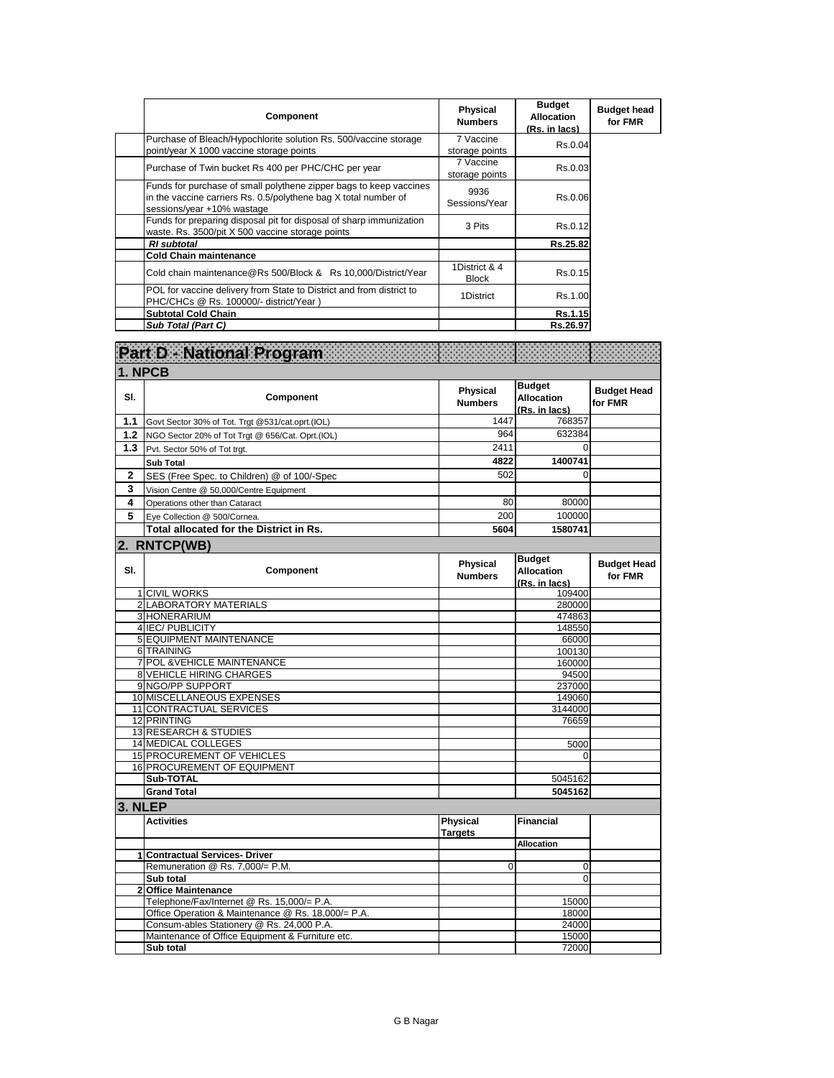| Component                                                                                                                                                           | <b>Physical</b><br><b>Numbers</b> | <b>Budget</b><br>Allocation<br>(Rs. in lacs) | <b>Budget head</b><br>for FMR |
|---------------------------------------------------------------------------------------------------------------------------------------------------------------------|-----------------------------------|----------------------------------------------|-------------------------------|
| Purchase of Bleach/Hypochlorite solution Rs. 500/vaccine storage<br>point/year X 1000 vaccine storage points                                                        | 7 Vaccine<br>storage points       | Rs.0.04                                      |                               |
| Purchase of Twin bucket Rs 400 per PHC/CHC per year                                                                                                                 | 7 Vaccine<br>storage points       | Rs.0.03                                      |                               |
| Funds for purchase of small polythene zipper bags to keep vaccines<br>in the vaccine carriers Rs. 0.5/polythene bag X total number of<br>sessions/year +10% wastage | 9936<br>Sessions/Year             | Rs.0.06                                      |                               |
| Funds for preparing disposal pit for disposal of sharp immunization<br>waste. Rs. 3500/pit X 500 vaccine storage points                                             | 3 Pits                            | Rs.0.12                                      |                               |
| <b>RI</b> subtotal                                                                                                                                                  |                                   | Rs.25.82                                     |                               |
| <b>Cold Chain maintenance</b>                                                                                                                                       |                                   |                                              |                               |
| Cold chain maintenance@Rs 500/Block & Rs 10,000/District/Year                                                                                                       | 1District & 4<br><b>Block</b>     | Rs.0.15                                      |                               |
| POL for vaccine delivery from State to District and from district to<br>PHC/CHCs @ Rs. 100000/- district/Year)                                                      | 1District                         | Rs.1.00                                      |                               |
| <b>Subtotal Cold Chain</b>                                                                                                                                          |                                   | Rs.1.15                                      |                               |
| Sub Total (Part C)                                                                                                                                                  |                                   | Rs.26.97                                     |                               |

|              | Part D - National Program                                                                       |                                   |                                                     |                               |
|--------------|-------------------------------------------------------------------------------------------------|-----------------------------------|-----------------------------------------------------|-------------------------------|
|              | 1. NPCB                                                                                         |                                   |                                                     |                               |
| SI.          | Component                                                                                       | <b>Physical</b><br><b>Numbers</b> | <b>Budget</b><br><b>Allocation</b><br>(Rs. in lacs) | <b>Budget Head</b><br>for FMR |
| 1.1          | Govt Sector 30% of Tot. Trgt @531/cat.oprt.(IOL)                                                | 1447                              | 768357                                              |                               |
| 1.2          | NGO Sector 20% of Tot Trgt @ 656/Cat. Oprt.(IOL)                                                | 964                               | 632384                                              |                               |
| 1.3          | Pvt. Sector 50% of Tot trgt.                                                                    | 2411                              | $\Omega$                                            |                               |
|              | Sub Total                                                                                       | 4822                              | 1400741                                             |                               |
| $\mathbf{2}$ | SES (Free Spec. to Children) @ of 100/-Spec                                                     | 502                               | $\Omega$                                            |                               |
| 3            | Vision Centre @ 50,000/Centre Equipment                                                         |                                   |                                                     |                               |
| 4            | Operations other than Cataract                                                                  | 80                                | 80000                                               |                               |
| 5            | Eye Collection @ 500/Cornea.                                                                    | 200                               | 100000                                              |                               |
|              | Total allocated for the District in Rs.                                                         | 5604                              | 1580741                                             |                               |
|              |                                                                                                 |                                   |                                                     |                               |
|              | 2. RNTCP(WB)                                                                                    |                                   |                                                     |                               |
| SI.          | Component                                                                                       | <b>Physical</b><br><b>Numbers</b> | <b>Budget</b><br><b>Allocation</b><br>(Rs. in lacs) | <b>Budget Head</b><br>for FMR |
|              | 1 CIVIL WORKS                                                                                   |                                   | 109400                                              |                               |
|              | 2 LABORATORY MATERIALS                                                                          |                                   | 280000                                              |                               |
|              | 3 HONERARIUM                                                                                    |                                   | 474863                                              |                               |
|              | 4 IEC/ PUBLICITY                                                                                |                                   | 148550                                              |                               |
|              | <b>5 EQUIPMENT MAINTENANCE</b>                                                                  |                                   | 66000                                               |                               |
|              | 6 TRAINING                                                                                      |                                   | 100130                                              |                               |
|              | 7 POL & VEHICLE MAINTENANCE<br><b>8 VEHICLE HIRING CHARGES</b>                                  |                                   | 160000                                              |                               |
|              | 9 NGO/PP SUPPORT                                                                                |                                   | 94500                                               |                               |
|              | 10 MISCELLANEOUS EXPENSES                                                                       |                                   | 237000<br>149060                                    |                               |
|              | 11 CONTRACTUAL SERVICES                                                                         |                                   | 3144000                                             |                               |
|              | 12 PRINTING                                                                                     |                                   | 76659                                               |                               |
|              | <b>13 RESEARCH &amp; STUDIES</b>                                                                |                                   |                                                     |                               |
|              | 14 MEDICAL COLLEGES                                                                             |                                   | 5000                                                |                               |
|              | 15 PROCUREMENT OF VEHICLES                                                                      |                                   | $\Omega$                                            |                               |
|              | 16 PROCUREMENT OF EQUIPMENT                                                                     |                                   |                                                     |                               |
|              | Sub-TOTAL                                                                                       |                                   | 5045162                                             |                               |
|              | <b>Grand Total</b>                                                                              |                                   | 5045162                                             |                               |
| 3. NLEP      |                                                                                                 |                                   |                                                     |                               |
|              | <b>Activities</b>                                                                               | Physical<br><b>Targets</b>        | <b>Financial</b>                                    |                               |
|              |                                                                                                 |                                   | <b>Allocation</b>                                   |                               |
|              | 1 Contractual Services- Driver                                                                  |                                   |                                                     |                               |
|              | Remuneration @ Rs. 7,000/= P.M.                                                                 | $\Omega$                          | 0                                                   |                               |
|              | Sub total                                                                                       |                                   | $\Omega$                                            |                               |
|              | 2 Office Maintenance                                                                            |                                   |                                                     |                               |
|              | Telephone/Fax/Internet @ Rs. 15,000/= P.A.                                                      |                                   | 15000                                               |                               |
|              | Office Operation & Maintenance @ Rs. 18,000/= P.A.<br>Consum-ables Stationery @ Rs. 24,000 P.A. |                                   | 18000                                               |                               |
|              | Maintenance of Office Equipment & Furniture etc.                                                |                                   | 24000<br>15000                                      |                               |
|              | Sub total                                                                                       |                                   | 72000                                               |                               |
|              |                                                                                                 |                                   |                                                     |                               |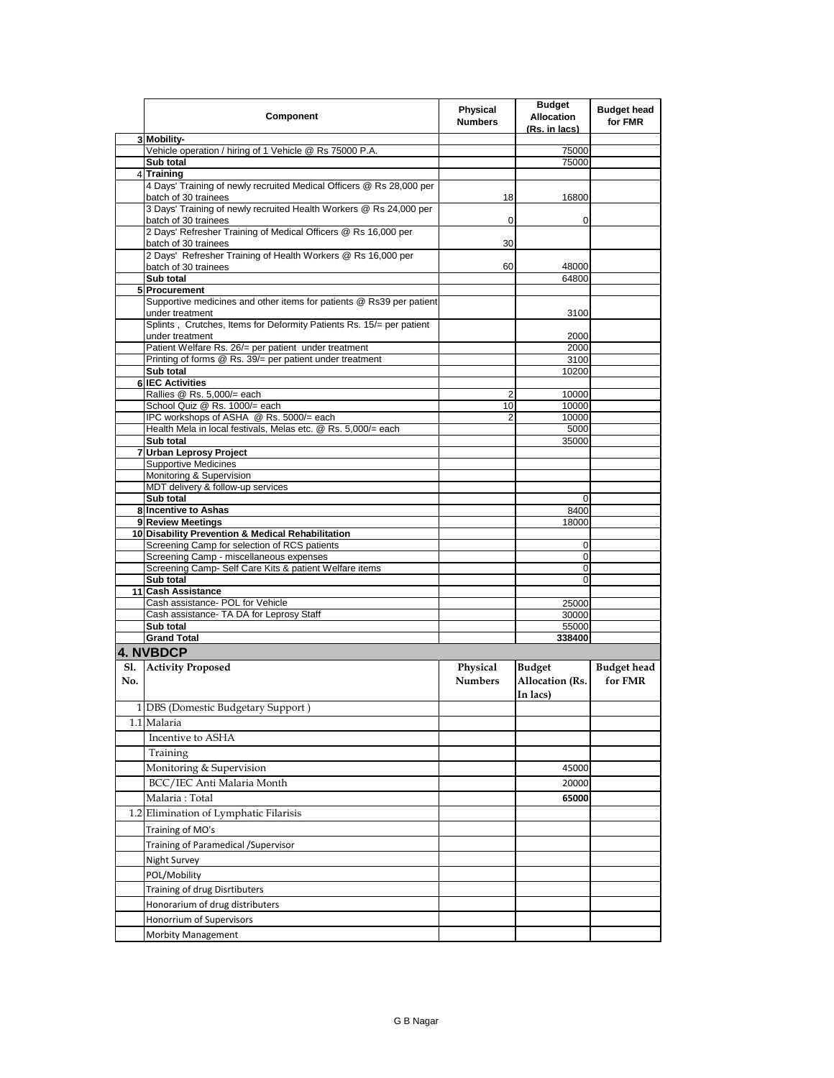|            | Component                                                                                                | <b>Physical</b><br><b>Numbers</b> | <b>Budget</b><br><b>Allocation</b><br>(Rs. in lacs) | <b>Budget head</b><br>for FMR |
|------------|----------------------------------------------------------------------------------------------------------|-----------------------------------|-----------------------------------------------------|-------------------------------|
|            | 3 Mobility-                                                                                              |                                   |                                                     |                               |
|            | Vehicle operation / hiring of 1 Vehicle @ Rs 75000 P.A.<br>Sub total                                     |                                   | 75000<br>75000                                      |                               |
|            | 4 Training                                                                                               |                                   |                                                     |                               |
|            | 4 Days' Training of newly recruited Medical Officers @ Rs 28,000 per<br>batch of 30 trainees             | 18                                | 16800                                               |                               |
|            | 3 Days' Training of newly recruited Health Workers @ Rs 24,000 per<br>batch of 30 trainees               | 0                                 | 0                                                   |                               |
|            | 2 Days' Refresher Training of Medical Officers @ Rs 16,000 per<br>batch of 30 trainees                   | 30                                |                                                     |                               |
|            | 2 Days' Refresher Training of Health Workers @ Rs 16,000 per<br>batch of 30 trainees                     | 60                                | 48000                                               |                               |
|            | Sub total                                                                                                |                                   | 64800                                               |                               |
|            | 5 Procurement<br>Supportive medicines and other items for patients @ Rs39 per patient<br>under treatment |                                   | 3100                                                |                               |
|            | Splints, Crutches, Items for Deformity Patients Rs. 15/= per patient<br>under treatment                  |                                   | 2000                                                |                               |
|            | Patient Welfare Rs. 26/= per patient under treatment                                                     |                                   | 2000                                                |                               |
|            | Printing of forms @ Rs. 39/= per patient under treatment                                                 |                                   | 3100                                                |                               |
|            | Sub total                                                                                                |                                   | 10200                                               |                               |
|            | <b>6 IEC Activities</b>                                                                                  |                                   |                                                     |                               |
|            | Rallies @ Rs. 5,000/= each<br>School Quiz @ Rs. 1000/= each                                              | 2<br>10                           | 10000<br>10000                                      |                               |
|            | IPC workshops of ASHA @ Rs. 5000/= each                                                                  | 2                                 | 10000                                               |                               |
|            | Health Mela in local festivals, Melas etc. @ Rs. 5,000/= each                                            |                                   | 5000                                                |                               |
|            | Sub total                                                                                                |                                   | 35000                                               |                               |
|            | 7 Urban Leprosy Project                                                                                  |                                   |                                                     |                               |
|            | Supportive Medicines                                                                                     |                                   |                                                     |                               |
|            | Monitoring & Supervision<br>MDT delivery & follow-up services                                            |                                   |                                                     |                               |
|            | Sub total                                                                                                |                                   | $\mathbf 0$                                         |                               |
|            | 8 Incentive to Ashas                                                                                     |                                   | 8400                                                |                               |
|            | 9 Review Meetings                                                                                        |                                   | 18000                                               |                               |
|            | 10 Disability Prevention & Medical Rehabilitation                                                        |                                   |                                                     |                               |
|            | Screening Camp for selection of RCS patients                                                             |                                   | 0                                                   |                               |
|            | Screening Camp - miscellaneous expenses<br>Screening Camp- Self Care Kits & patient Welfare items        |                                   | 0<br>0                                              |                               |
|            | Sub total                                                                                                |                                   | 0                                                   |                               |
|            | 11 Cash Assistance                                                                                       |                                   |                                                     |                               |
|            | Cash assistance- POL for Vehicle                                                                         |                                   | 25000                                               |                               |
|            | Cash assistance- TA DA for Leprosy Staff                                                                 |                                   | 30000                                               |                               |
|            | Sub total                                                                                                |                                   | 55000                                               |                               |
|            | <b>Grand Total</b>                                                                                       |                                   | 338400                                              |                               |
|            | 4. NVBDCP                                                                                                |                                   |                                                     |                               |
| Sl.<br>No. | <b>Activity Proposed</b>                                                                                 | Physical<br><b>Numbers</b>        | <b>Budget</b><br>Allocation (Rs.<br>In lacs)        | <b>Budget head</b><br>for FMR |
|            | 1 DBS (Domestic Budgetary Support)                                                                       |                                   |                                                     |                               |
|            | 1.1 Malaria                                                                                              |                                   |                                                     |                               |
|            | Incentive to ASHA                                                                                        |                                   |                                                     |                               |
|            | Training                                                                                                 |                                   |                                                     |                               |
|            | Monitoring & Supervision                                                                                 |                                   | 45000                                               |                               |
|            | BCC/IEC Anti Malaria Month                                                                               |                                   | 20000                                               |                               |
|            | Malaria: Total                                                                                           |                                   | 65000                                               |                               |
|            | 1.2 Elimination of Lymphatic Filarisis                                                                   |                                   |                                                     |                               |
|            | Training of MO's                                                                                         |                                   |                                                     |                               |
|            | <b>Training of Paramedical /Supervisor</b>                                                               |                                   |                                                     |                               |
|            | Night Survey                                                                                             |                                   |                                                     |                               |
|            | POL/Mobility                                                                                             |                                   |                                                     |                               |
|            |                                                                                                          |                                   |                                                     |                               |
|            | Training of drug Disrtibuters<br>Honorarium of drug distributers                                         |                                   |                                                     |                               |
|            | Honorrium of Supervisors                                                                                 |                                   |                                                     |                               |
|            | <b>Morbity Management</b>                                                                                |                                   |                                                     |                               |
|            |                                                                                                          |                                   |                                                     |                               |